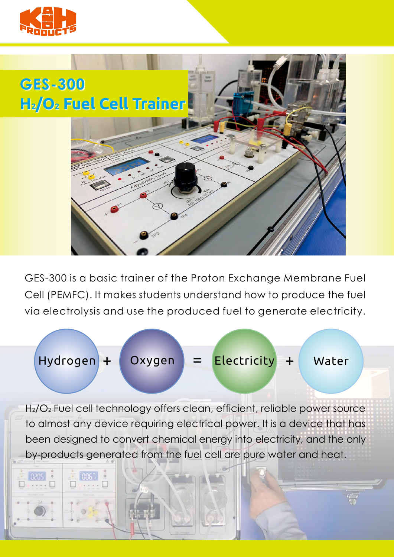



GES-300 is a basic trainer of the Proton Exchange Membrane Fuel Cell (PEMFC). It makes students understand how to produce the fuel via electrolysis and use the produced fuel to generate electricity.

+ Hydrogen Oxygen = Electricity + Water

H2/O2 Fuel cell technology offers clean, efficient, reliable power source to almost any device requiring electrical power. It is a device that has been designed to convert chemical energy into electricity, and the only by-products generated from the fuel cell are pure water and heat.